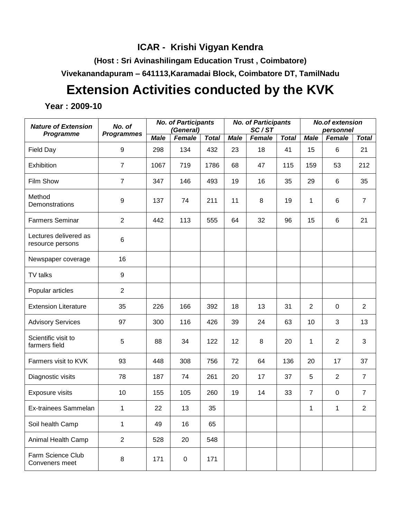# **ICAR - Krishi Vigyan Kendra**

**(Host : Sri Avinashilingam Education Trust , Coimbatore)**

**Vivekanandapuram – 641113,Karamadai Block, Coimbatore DT, TamilNadu**

# **Extension Activities conducted by the KVK**

**Year : 2009-10**

| <b>Nature of Extension</b>                | No. of            |             | <b>No. of Participants</b><br>(General) |              |             | <b>No. of Participants</b><br>SC/ST |              | <b>No.of extension</b><br>personnel |                 |                |
|-------------------------------------------|-------------------|-------------|-----------------------------------------|--------------|-------------|-------------------------------------|--------------|-------------------------------------|-----------------|----------------|
| Programme                                 | <b>Programmes</b> | <b>Male</b> | Female                                  | <b>Total</b> | <b>Male</b> | Female                              | <b>Total</b> | <b>Male</b>                         | Female          | <b>Total</b>   |
| Field Day                                 | $\boldsymbol{9}$  | 298         | 134                                     | 432          | 23          | 18                                  | 41           | 15                                  | $6\phantom{1}6$ | 21             |
| Exhibition                                | $\overline{7}$    | 1067        | 719                                     | 1786         | 68          | 47                                  | 115          | 159                                 | 53              | 212            |
| Film Show                                 | $\overline{7}$    | 347         | 146                                     | 493          | 19          | 16                                  | 35           | 29                                  | 6               | 35             |
| Method<br>Demonstrations                  | 9                 | 137         | 74                                      | 211          | 11          | 8                                   | 19           | 1                                   | 6               | $\overline{7}$ |
| <b>Farmers Seminar</b>                    | $\overline{2}$    | 442         | 113                                     | 555          | 64          | 32                                  | 96           | 15                                  | $\,6$           | 21             |
| Lectures delivered as<br>resource persons | 6                 |             |                                         |              |             |                                     |              |                                     |                 |                |
| Newspaper coverage                        | 16                |             |                                         |              |             |                                     |              |                                     |                 |                |
| TV talks                                  | $\boldsymbol{9}$  |             |                                         |              |             |                                     |              |                                     |                 |                |
| Popular articles                          | $\overline{2}$    |             |                                         |              |             |                                     |              |                                     |                 |                |
| <b>Extension Literature</b>               | 35                | 226         | 166                                     | 392          | 18          | 13                                  | 31           | $\overline{2}$                      | $\mathbf 0$     | $\overline{2}$ |
| <b>Advisory Services</b>                  | 97                | 300         | 116                                     | 426          | 39          | 24                                  | 63           | 10                                  | 3               | 13             |
| Scientific visit to<br>farmers field      | 5                 | 88          | 34                                      | 122          | 12          | 8                                   | 20           | 1                                   | $\overline{2}$  | 3              |
| Farmers visit to KVK                      | 93                | 448         | 308                                     | 756          | 72          | 64                                  | 136          | 20                                  | 17              | 37             |
| Diagnostic visits                         | 78                | 187         | 74                                      | 261          | 20          | 17                                  | 37           | 5                                   | $\overline{2}$  | $\overline{7}$ |
| Exposure visits                           | 10                | 155         | 105                                     | 260          | 19          | 14                                  | 33           | $\overline{7}$                      | $\mathbf 0$     | $\overline{7}$ |
| Ex-trainees Sammelan                      | 1                 | 22          | 13                                      | 35           |             |                                     |              | 1                                   | 1               | $\overline{2}$ |
| Soil health Camp                          | 1                 | 49          | 16                                      | 65           |             |                                     |              |                                     |                 |                |
| Animal Health Camp                        | $\overline{2}$    | 528         | 20                                      | 548          |             |                                     |              |                                     |                 |                |
| Farm Science Club<br>Conveners meet       | $\, 8$            | 171         | $\pmb{0}$                               | 171          |             |                                     |              |                                     |                 |                |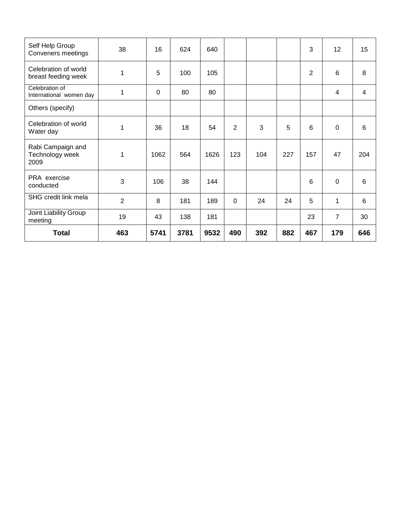| Self Help Group<br>Conveners meetings        | 38  | 16          | 624  | 640  |                |     |     | 3              | 12             | 15             |
|----------------------------------------------|-----|-------------|------|------|----------------|-----|-----|----------------|----------------|----------------|
| Celebration of world<br>breast feeding week  | 1   | 5           | 100  | 105  |                |     |     | $\overline{2}$ | $6\phantom{1}$ | 8              |
| Celebration of<br>International women day    | 1   | $\mathbf 0$ | 80   | 80   |                |     |     |                | 4              | $\overline{4}$ |
| Others (specify)                             |     |             |      |      |                |     |     |                |                |                |
| Celebration of world<br>Water day            | 1   | 36          | 18   | 54   | $\overline{2}$ | 3   | 5   | 6              | $\mathbf 0$    | $6\phantom{1}$ |
| Rabi Campaign and<br>Technology week<br>2009 | 1   | 1062        | 564  | 1626 | 123            | 104 | 227 | 157            | 47             | 204            |
| PRA exercise<br>conducted                    | 3   | 106         | 38   | 144  |                |     |     | 6              | $\mathbf 0$    | 6              |
| SHG credit link mela                         | 2   | 8           | 181  | 189  | $\mathbf 0$    | 24  | 24  | 5              | 1              | 6              |
| Joint Liability Group<br>meeting             | 19  | 43          | 138  | 181  |                |     |     | 23             | $\overline{7}$ | 30             |
| <b>Total</b>                                 | 463 | 5741        | 3781 | 9532 | 490            | 392 | 882 | 467            | 179            | 646            |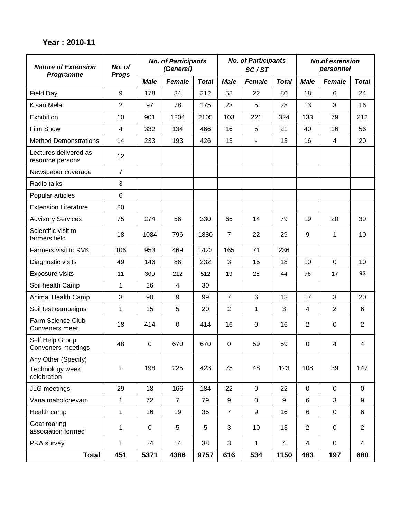#### **Year : 2010-11**

| <b>Nature of Extension</b><br>Programme               | No. of<br><b>Progs</b> |             | <b>No. of Participants</b><br>(General) |              |                  | <b>No. of Participants</b><br>SC/ST |                         | <b>No.of extension</b><br>personnel |                |                |
|-------------------------------------------------------|------------------------|-------------|-----------------------------------------|--------------|------------------|-------------------------------------|-------------------------|-------------------------------------|----------------|----------------|
|                                                       |                        | <b>Male</b> | Female                                  | <b>Total</b> | <b>Male</b>      | Female                              | <b>Total</b>            | <b>Male</b>                         | Female         | <b>Total</b>   |
| <b>Field Day</b>                                      | 9                      | 178         | 34                                      | 212          | 58               | 22                                  | 80                      | 18                                  | 6              | 24             |
| Kisan Mela                                            | $\overline{2}$         | 97          | 78                                      | 175          | 23               | 5                                   | 28                      | 13                                  | 3              | 16             |
| Exhibition                                            | 10                     | 901         | 1204                                    | 2105         | 103              | 221                                 | 324                     | 133                                 | 79             | 212            |
| Film Show                                             | 4                      | 332         | 134                                     | 466          | 16               | 5                                   | 21                      | 40                                  | 16             | 56             |
| <b>Method Demonstrations</b>                          | 14                     | 233         | 193                                     | 426          | 13               | $\overline{\phantom{a}}$            | 13                      | 16                                  | 4              | 20             |
| Lectures delivered as<br>resource persons             | 12                     |             |                                         |              |                  |                                     |                         |                                     |                |                |
| Newspaper coverage                                    | $\overline{7}$         |             |                                         |              |                  |                                     |                         |                                     |                |                |
| Radio talks                                           | 3                      |             |                                         |              |                  |                                     |                         |                                     |                |                |
| Popular articles                                      | $\,6$                  |             |                                         |              |                  |                                     |                         |                                     |                |                |
| <b>Extension Literature</b>                           | 20                     |             |                                         |              |                  |                                     |                         |                                     |                |                |
| <b>Advisory Services</b>                              | 75                     | 274         | 56                                      | 330          | 65               | 14                                  | 79                      | 19                                  | 20             | 39             |
| Scientific visit to<br>farmers field                  | 18                     | 1084        | 796                                     | 1880         | $\overline{7}$   | 22                                  | 29                      | $\boldsymbol{9}$                    | 1              | 10             |
| Farmers visit to KVK                                  | 106                    | 953         | 469                                     | 1422         | 165              | 71                                  | 236                     |                                     |                |                |
| Diagnostic visits                                     | 49                     | 146         | 86                                      | 232          | 3                | 15                                  | 18                      | 10                                  | $\mathbf 0$    | 10             |
| Exposure visits                                       | 11                     | 300         | 212                                     | 512          | 19               | 25                                  | 44                      | 76                                  | 17             | 93             |
| Soil health Camp                                      | 1                      | 26          | 4                                       | 30           |                  |                                     |                         |                                     |                |                |
| Animal Health Camp                                    | $\mathfrak{S}$         | 90          | 9                                       | 99           | $\overline{7}$   | $6\phantom{1}6$                     | 13                      | 17                                  | 3              | 20             |
| Soil test campaigns                                   | 1                      | 15          | 5                                       | 20           | $\overline{2}$   | $\mathbf{1}$                        | 3                       | 4                                   | $\overline{2}$ | 6              |
| Farm Science Club<br>Conveners meet                   | 18                     | 414         | 0                                       | 414          | 16               | $\boldsymbol{0}$                    | 16                      | $\overline{2}$                      | $\pmb{0}$      | $\overline{2}$ |
| Self Help Group<br>Conveners meetings                 | 48                     | $\mathbf 0$ | 670                                     | 670          | $\boldsymbol{0}$ | 59                                  | 59                      | $\boldsymbol{0}$                    | 4              | 4              |
| Any Other (Specify)<br>Technology week<br>celebration | 1                      | 198         | 225                                     | 423          | 75               | 48                                  | 123                     | 108                                 | 39             | 147            |
| JLG meetings                                          | 29                     | 18          | 166                                     | 184          | 22               | $\pmb{0}$                           | 22                      | $\mathbf 0$                         | 0              | $\mathbf 0$    |
| Vana mahotchevam                                      | $\mathbf{1}$           | 72          | $\overline{7}$                          | 79           | 9                | $\mathbf 0$                         | 9                       | 6                                   | 3              | 9              |
| Health camp                                           | $\mathbf{1}$           | 16          | 19                                      | 35           | $\overline{7}$   | $\boldsymbol{9}$                    | 16                      | $\,6\,$                             | 0              | 6              |
| Goat rearing<br>association formed                    | $\mathbf{1}$           | $\pmb{0}$   | 5                                       | 5            | 3                | 10                                  | 13                      | $\overline{2}$                      | 0              | $\overline{2}$ |
| PRA survey                                            | $\mathbf{1}$           | 24          | 14                                      | 38           | 3                | $\mathbf{1}$                        | $\overline{\mathbf{4}}$ | $\overline{\mathbf{4}}$             | $\mathbf 0$    | $\overline{4}$ |
| <b>Total</b>                                          | 451                    | 5371        | 4386                                    | 9757         | 616              | 534                                 | 1150                    | 483                                 | 197            | 680            |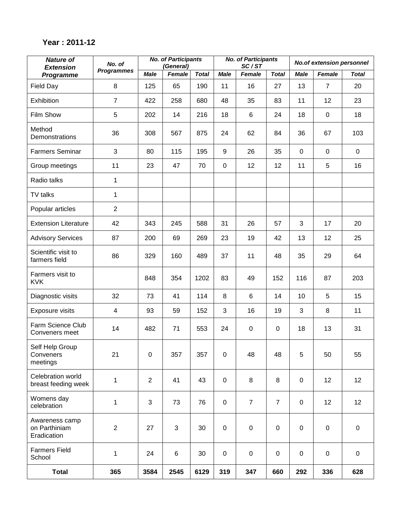### **Year : 2011-12**

| <b>Nature of</b><br><b>Extension</b>           | No. of            |                  | <b>No. of Participants</b><br>(General) |              | <b>No. of Participants</b><br><b>No.of extension personnel</b><br>SC/ST |                  |                |             |                |                 |
|------------------------------------------------|-------------------|------------------|-----------------------------------------|--------------|-------------------------------------------------------------------------|------------------|----------------|-------------|----------------|-----------------|
| Programme                                      | <b>Programmes</b> | <b>Male</b>      | Female                                  | <b>Total</b> | <b>Male</b>                                                             | Female           | <b>Total</b>   | <b>Male</b> | Female         | <b>Total</b>    |
| Field Day                                      | 8                 | 125              | 65                                      | 190          | 11                                                                      | 16               | 27             | 13          | $\overline{7}$ | 20              |
| Exhibition                                     | $\overline{7}$    | 422              | 258                                     | 680          | 48                                                                      | 35               | 83             | 11          | 12             | 23              |
| Film Show                                      | 5                 | 202              | 14                                      | 216          | 18                                                                      | 6                | 24             | 18          | $\mathbf 0$    | 18              |
| Method<br>Demonstrations                       | 36                | 308              | 567                                     | 875          | 24                                                                      | 62               | 84             | 36          | 67             | 103             |
| <b>Farmers Seminar</b>                         | 3                 | 80               | 115                                     | 195          | $\boldsymbol{9}$                                                        | 26               | 35             | $\mathbf 0$ | $\mathbf 0$    | $\mathbf 0$     |
| Group meetings                                 | 11                | 23               | 47                                      | 70           | $\pmb{0}$                                                               | 12               | 12             | 11          | 5              | 16              |
| Radio talks                                    | 1                 |                  |                                         |              |                                                                         |                  |                |             |                |                 |
| TV talks                                       | 1                 |                  |                                         |              |                                                                         |                  |                |             |                |                 |
| Popular articles                               | $\overline{2}$    |                  |                                         |              |                                                                         |                  |                |             |                |                 |
| <b>Extension Literature</b>                    | 42                | 343              | 245                                     | 588          | 31                                                                      | 26               | 57             | 3           | 17             | 20              |
| <b>Advisory Services</b>                       | 87                | 200              | 69                                      | 269          | 23                                                                      | 19               | 42             | 13          | 12             | 25              |
| Scientific visit to<br>farmers field           | 86                | 329              | 160                                     | 489          | 37                                                                      | 11               | 48             | 35          | 29             | 64              |
| Farmers visit to<br><b>KVK</b>                 |                   | 848              | 354                                     | 1202         | 83                                                                      | 49               | 152            | 116         | 87             | 203             |
| Diagnostic visits                              | 32                | 73               | 41                                      | 114          | 8                                                                       | 6                | 14             | 10          | 5              | 15              |
| Exposure visits                                | 4                 | 93               | 59                                      | 152          | 3                                                                       | 16               | 19             | 3           | 8              | 11              |
| Farm Science Club<br>Conveners meet            | 14                | 482              | 71                                      | 553          | 24                                                                      | $\boldsymbol{0}$ | 0              | 18          | 13             | 31              |
| Self Help Group<br>Conveners<br>meetings       | 21                | $\boldsymbol{0}$ | 357                                     | 357          | $\pmb{0}$                                                               | 48               | 48             | 5           | 50             | 55              |
| Celebration world<br>breast feeding week       | $\mathbf{1}$      | $\overline{2}$   | 41                                      | 43           | $\pmb{0}$                                                               | 8                | 8              | $\pmb{0}$   | 12             | 12 <sub>2</sub> |
| Womens day<br>celebration                      | $\mathbf 1$       | 3                | 73                                      | 76           | $\pmb{0}$                                                               | $\overline{7}$   | $\overline{7}$ | $\mathbf 0$ | 12             | 12              |
| Awareness camp<br>on Parthiniam<br>Eradication | $\overline{2}$    | 27               | 3                                       | 30           | $\pmb{0}$                                                               | $\pmb{0}$        | $\pmb{0}$      | $\mathbf 0$ | $\pmb{0}$      | $\pmb{0}$       |
| <b>Farmers Field</b><br>School                 | $\mathbf 1$       | 24               | 6                                       | 30           | $\pmb{0}$                                                               | $\pmb{0}$        | $\mathbf 0$    | $\pmb{0}$   | $\mathbf 0$    | $\pmb{0}$       |
| <b>Total</b>                                   | 365               | 3584             | 2545                                    | 6129         | 319                                                                     | 347              | 660            | 292         | 336            | 628             |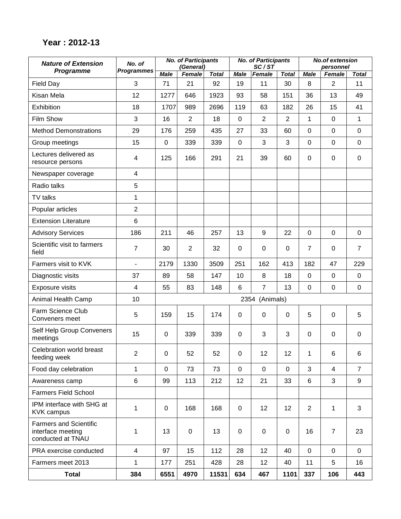### **Year : 2012-13**

| <b>Nature of Extension</b>                                              | No. of                   |             | <b>No. of Participants</b><br>(General) |              |             | <b>No. of Participants</b><br>SC/ST |                  |                | <b>No.of extension</b><br>personnel |                |
|-------------------------------------------------------------------------|--------------------------|-------------|-----------------------------------------|--------------|-------------|-------------------------------------|------------------|----------------|-------------------------------------|----------------|
| Programme                                                               | <b>Programmes</b>        | <b>Male</b> | Female                                  | <b>Total</b> | <b>Male</b> | Female                              | <b>Total</b>     | <b>Male</b>    | Female                              | <b>Total</b>   |
| <b>Field Day</b>                                                        | 3                        | 71          | 21                                      | 92           | 19          | 11                                  | 30               | 8              | $\overline{2}$                      | 11             |
| Kisan Mela                                                              | 12                       | 1277        | 646                                     | 1923         | 93          | 58                                  | 151              | 36             | 13                                  | 49             |
| Exhibition                                                              | 18                       | 1707        | 989                                     | 2696         | 119         | 63                                  | 182              | 26             | 15                                  | 41             |
| Film Show                                                               | 3                        | 16          | $\overline{2}$                          | 18           | 0           | $\overline{2}$                      | $\overline{2}$   | 1              | 0                                   | 1              |
| <b>Method Demonstrations</b>                                            | 29                       | 176         | 259                                     | 435          | 27          | 33                                  | 60               | $\mathbf 0$    | 0                                   | $\mathbf 0$    |
| Group meetings                                                          | 15                       | 0           | 339                                     | 339          | $\mathbf 0$ | 3                                   | 3                | $\mathbf 0$    | 0                                   | $\mathbf 0$    |
| Lectures delivered as<br>resource persons                               | $\overline{\mathcal{A}}$ | 125         | 166                                     | 291          | 21          | 39                                  | 60               | $\mathbf 0$    | 0                                   | $\mathbf 0$    |
| Newspaper coverage                                                      | $\overline{4}$           |             |                                         |              |             |                                     |                  |                |                                     |                |
| Radio talks                                                             | 5                        |             |                                         |              |             |                                     |                  |                |                                     |                |
| TV talks                                                                | 1                        |             |                                         |              |             |                                     |                  |                |                                     |                |
| Popular articles                                                        | $\overline{2}$           |             |                                         |              |             |                                     |                  |                |                                     |                |
| <b>Extension Literature</b>                                             | $6\phantom{1}$           |             |                                         |              |             |                                     |                  |                |                                     |                |
| <b>Advisory Services</b>                                                | 186                      | 211         | 46                                      | 257          | 13          | 9                                   | 22               | $\mathbf 0$    | $\mathbf 0$                         | $\mathbf 0$    |
| Scientific visit to farmers<br>field                                    | $\overline{7}$           | 30          | 2                                       | 32           | $\Omega$    | 0                                   | 0                | $\overline{7}$ | 0                                   | $\overline{7}$ |
| Farmers visit to KVK                                                    | $\frac{1}{2}$            | 2179        | 1330                                    | 3509         | 251         | 162                                 | 413              | 182            | 47                                  | 229            |
| Diagnostic visits                                                       | 37                       | 89          | 58                                      | 147          | 10          | 8                                   | 18               | $\mathbf 0$    | $\mathbf 0$                         | $\mathbf 0$    |
| <b>Exposure visits</b>                                                  | $\overline{4}$           | 55          | 83                                      | 148          | 6           | $\overline{7}$                      | 13               | $\mathbf 0$    | 0                                   | $\pmb{0}$      |
| Animal Health Camp                                                      | 10                       |             |                                         |              |             | 2354 (Animals)                      |                  |                |                                     |                |
| Farm Science Club<br>Conveners meet                                     | 5                        | 159         | 15                                      | 174          | $\mathbf 0$ | $\pmb{0}$                           | $\boldsymbol{0}$ | 5              | 0                                   | 5              |
| Self Help Group Conveners<br>meetings                                   | 15                       | 0           | 339                                     | 339          | $\mathbf 0$ | 3                                   | 3                | $\mathbf 0$    | 0                                   | $\mathbf 0$    |
| Celebration world breast<br>feeding week                                | $\overline{2}$           | 0           | 52                                      | 52           | 0           | 12                                  | 12               | 1              | 6                                   | 6              |
| Food day celebration                                                    | $\mathbf{1}$             | $\mathbf 0$ | 73                                      | 73           | $\mathbf 0$ | $\mathbf 0$                         | $\mathbf 0$      | 3              | 4                                   | $\overline{7}$ |
| Awareness camp                                                          | $6\phantom{a}$           | 99          | 113                                     | 212          | 12          | 21                                  | 33               | 6              | 3                                   | 9              |
| <b>Farmers Field School</b>                                             |                          |             |                                         |              |             |                                     |                  |                |                                     |                |
| IPM interface with SHG at<br><b>KVK campus</b>                          | 1                        | 0           | 168                                     | 168          | 0           | 12                                  | 12               | $\overline{2}$ | 1                                   | 3              |
| <b>Farmers and Scientific</b><br>interface meeting<br>conducted at TNAU | 1                        | 13          | $\mathsf 0$                             | 13           | 0           | $\pmb{0}$                           | $\pmb{0}$        | 16             | $\overline{7}$                      | 23             |
| PRA exercise conducted                                                  | $\overline{4}$           | 97          | 15                                      | 112          | 28          | 12                                  | 40               | $\mathbf 0$    | 0                                   | $\mathbf 0$    |
| Farmers meet 2013                                                       | $\mathbf{1}$             | 177         | 251                                     | 428          | 28          | 12                                  | 40               | 11             | 5                                   | 16             |
| <b>Total</b>                                                            | 384                      | 6551        | 4970                                    | 11531        | 634         | 467                                 | 1101             | 337            | 106                                 | 443            |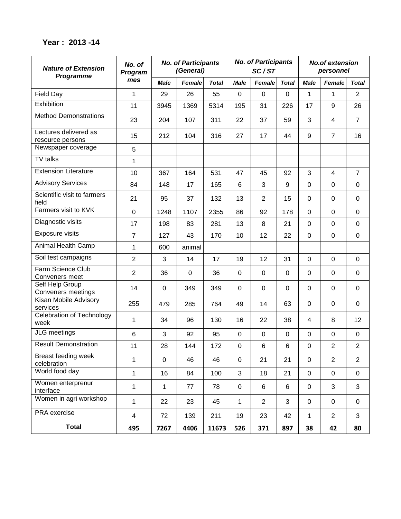#### **Year : 2013 -14**

| <b>Nature of Extension</b><br>Programme   | No. of<br>Program |             | <b>No. of Participants</b><br>(General) |              |             | <b>No. of Participants</b><br>SC/ST |              | <b>No.of extension</b><br>personnel |                |                         |
|-------------------------------------------|-------------------|-------------|-----------------------------------------|--------------|-------------|-------------------------------------|--------------|-------------------------------------|----------------|-------------------------|
|                                           | mes               | <b>Male</b> | <b>Female</b>                           | <b>Total</b> | <b>Male</b> | Female                              | <b>Total</b> | <b>Male</b>                         | <b>Female</b>  | <b>Total</b>            |
| <b>Field Day</b>                          | 1                 | 29          | 26                                      | 55           | $\mathbf 0$ | $\mathbf 0$                         | 0            | $\mathbf{1}$                        | 1              | $\overline{2}$          |
| Exhibition                                | 11                | 3945        | 1369                                    | 5314         | 195         | 31                                  | 226          | 17                                  | 9              | 26                      |
| <b>Method Demonstrations</b>              | 23                | 204         | 107                                     | 311          | 22          | 37                                  | 59           | 3                                   | 4              | $\overline{7}$          |
| Lectures delivered as<br>resource persons | 15                | 212         | 104                                     | 316          | 27          | 17                                  | 44           | 9                                   | $\overline{7}$ | 16                      |
| Newspaper coverage                        | 5                 |             |                                         |              |             |                                     |              |                                     |                |                         |
| <b>TV</b> talks                           | 1                 |             |                                         |              |             |                                     |              |                                     |                |                         |
| <b>Extension Literature</b>               | 10                | 367         | 164                                     | 531          | 47          | 45                                  | 92           | 3                                   | $\overline{4}$ | $\overline{7}$          |
| <b>Advisory Services</b>                  | 84                | 148         | 17                                      | 165          | 6           | 3                                   | 9            | $\overline{0}$                      | $\Omega$       | $\mathbf 0$             |
| Scientific visit to farmers<br>field      | 21                | 95          | 37                                      | 132          | 13          | $\overline{2}$                      | 15           | $\overline{0}$                      | $\Omega$       | $\mathbf 0$             |
| Farmers visit to KVK                      | $\mathbf 0$       | 1248        | 1107                                    | 2355         | 86          | 92                                  | 178          | $\Omega$                            | $\overline{0}$ | 0                       |
| Diagnostic visits                         | 17                | 198         | 83                                      | 281          | 13          | 8                                   | 21           | $\overline{0}$                      | $\overline{0}$ | 0                       |
| <b>Exposure visits</b>                    | $\overline{7}$    | 127         | 43                                      | 170          | 10          | 12                                  | 22           | $\overline{0}$                      | $\overline{0}$ | $\mathbf 0$             |
| Animal Health Camp                        | $\mathbf{1}$      | 600         | animal                                  |              |             |                                     |              |                                     |                |                         |
| Soil test campaigns                       | $\overline{2}$    | 3           | 14                                      | 17           | 19          | 12                                  | 31           | $\overline{0}$                      | $\overline{0}$ | $\mathbf 0$             |
| Farm Science Club<br>Conveners meet       | $\overline{2}$    | 36          | $\mathbf 0$                             | 36           | 0           | 0                                   | 0            | $\overline{0}$                      | $\Omega$       | 0                       |
| Self Help Group<br>Conveners meetings     | 14                | 0           | 349                                     | 349          | 0           | 0                                   | 0            | 0                                   | 0              | 0                       |
| Kisan Mobile Advisory<br>services         | 255               | 479         | 285                                     | 764          | 49          | 14                                  | 63           | $\overline{0}$                      | 0              | $\mathbf 0$             |
| Celebration of Technology<br>week         | 1                 | 34          | 96                                      | 130          | 16          | 22                                  | 38           | $\overline{4}$                      | 8              | 12                      |
| JLG meetings                              | 6                 | 3           | 92                                      | 95           | $\mathbf 0$ | $\mathbf 0$                         | $\mathbf 0$  | $\overline{0}$                      | $\mathbf 0$    | 0                       |
| <b>Result Demonstration</b>               | 11                | 28          | 144                                     | 172          | 0           | 6                                   | 6            | $\overline{0}$                      | $\overline{2}$ | $\overline{\mathbf{c}}$ |
| Breast feeding week<br>celebration        | 1                 | $\mathbf 0$ | 46                                      | 46           | $\pmb{0}$   | 21                                  | 21           | $\mathbf 0$                         | $\overline{2}$ | $\overline{2}$          |
| World food day                            | $\mathbf 1$       | 16          | 84                                      | 100          | 3           | 18                                  | 21           | $\overline{0}$                      | $\mathbf 0$    | $\mathbf 0$             |
| Women enterprenur<br>interface            | 1                 | 1           | 77                                      | 78           | $\pmb{0}$   | 6                                   | 6            | $\mathbf 0$                         | 3              | 3                       |
| Women in agri workshop                    | 1                 | 22          | 23                                      | 45           | 1           | $\overline{2}$                      | 3            | $\mathbf 0$                         | $\mathbf 0$    | 0                       |
| PRA exercise                              | $\overline{4}$    | 72          | 139                                     | 211          | 19          | 23                                  | 42           | $\mathbf{1}$                        | $\overline{2}$ | 3                       |
| <b>Total</b>                              | 495               | 7267        | 4406                                    | 11673        | 526         | 371                                 | 897          | 38                                  | 42             | 80                      |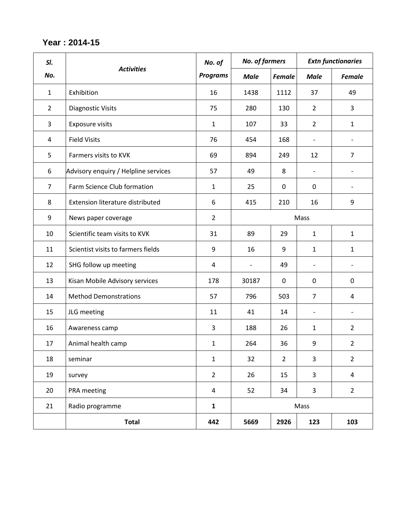#### **Year : 2014-15**

| SI.            |                                      | No. of          | <b>No. of farmers</b>    |                |                          | <b>Extn functionaries</b> |
|----------------|--------------------------------------|-----------------|--------------------------|----------------|--------------------------|---------------------------|
| No.            | <b>Activities</b>                    | <b>Programs</b> | <b>Male</b>              | <b>Female</b>  | <b>Male</b>              | <b>Female</b>             |
| $\mathbf{1}$   | Exhibition                           | 16              | 1438                     | 1112           | 37                       | 49                        |
| $\overline{2}$ | <b>Diagnostic Visits</b>             | 75              | 280                      | 130            | $\overline{2}$           | 3                         |
| 3              | <b>Exposure visits</b>               | $\mathbf{1}$    | 107                      | 33             | $\overline{2}$           | $\mathbf{1}$              |
| $\overline{a}$ | <b>Field Visits</b>                  | 76              | 454                      | 168            | $\overline{\phantom{a}}$ |                           |
| 5              | Farmers visits to KVK                | 69              | 894                      | 249            | 12                       | $\overline{7}$            |
| 6              | Advisory enquiry / Helpline services | 57              | 49                       | 8              | $\overline{\phantom{a}}$ |                           |
| $\overline{7}$ | Farm Science Club formation          | $\mathbf{1}$    | 25                       | $\mathbf 0$    | $\mathbf 0$              | $\overline{\phantom{a}}$  |
| 8              | Extension literature distributed     | 6               | 415                      | 210            | 16                       | 9                         |
| 9              | News paper coverage                  | $\overline{2}$  |                          |                | Mass                     |                           |
| 10             | Scientific team visits to KVK        | 31              | 89                       | 29             | $\mathbf{1}$             | $\mathbf{1}$              |
| 11             | Scientist visits to farmers fields   | 9               | 16                       | 9              | $\mathbf{1}$             | $\mathbf{1}$              |
| 12             | SHG follow up meeting                | 4               | $\overline{\phantom{a}}$ | 49             | $\overline{\phantom{a}}$ |                           |
| 13             | Kisan Mobile Advisory services       | 178             | 30187                    | $\mathbf 0$    | $\mathbf 0$              | $\mathbf 0$               |
| 14             | <b>Method Demonstrations</b>         | 57              | 796                      | 503            | $\overline{7}$           | 4                         |
| 15             | JLG meeting                          | 11              | 41                       | 14             | $\overline{\phantom{a}}$ |                           |
| 16             | Awareness camp                       | 3               | 188                      | 26             | $\mathbf{1}$             | $\overline{2}$            |
| 17             | Animal health camp                   | $\mathbf{1}$    | 264                      | 36             | 9                        | $\overline{2}$            |
| 18             | seminar                              | $\mathbf{1}$    | 32                       | $\overline{2}$ | $\overline{3}$           | $\overline{2}$            |
| 19             | survey                               | $\overline{2}$  | 26                       | 15             | $\overline{3}$           | $\overline{4}$            |
| 20             | PRA meeting                          | $\overline{4}$  | 52                       | 34             | $\overline{3}$           | $\overline{2}$            |
| 21             | Radio programme                      | $\mathbf{1}$    |                          |                | Mass                     |                           |
|                | <b>Total</b>                         | 442             | 5669                     | 2926           | 123                      | 103                       |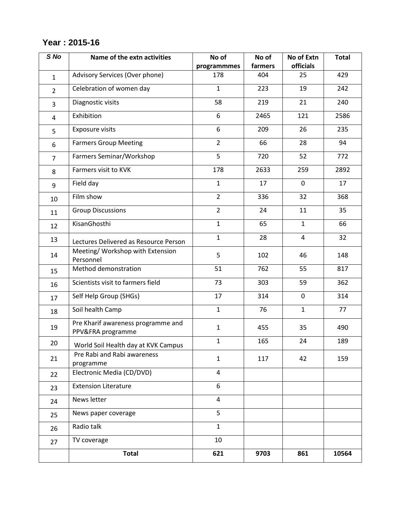# **Year : 2015-16**

| S No           | Name of the extn activities                             | No of<br>programmmes | No of<br>farmers | No of Extn<br>officials | <b>Total</b> |
|----------------|---------------------------------------------------------|----------------------|------------------|-------------------------|--------------|
| $\mathbf{1}$   | Advisory Services (Over phone)                          | 178                  | 404              | 25                      | 429          |
| $\overline{2}$ | Celebration of women day                                | $\mathbf{1}$         | 223              | 19                      | 242          |
| 3              | Diagnostic visits                                       | 58                   | 219              | 21                      | 240          |
| 4              | Exhibition                                              | 6                    | 2465             | 121                     | 2586         |
| 5              | <b>Exposure visits</b>                                  | 6                    | 209              | 26                      | 235          |
| 6              | <b>Farmers Group Meeting</b>                            | $\overline{2}$       | 66               | 28                      | 94           |
| $\overline{7}$ | Farmers Seminar/Workshop                                | 5                    | 720              | 52                      | 772          |
| 8              | Farmers visit to KVK                                    | 178                  | 2633             | 259                     | 2892         |
| 9              | Field day                                               | $\mathbf{1}$         | 17               | 0                       | 17           |
| 10             | Film show                                               | $\overline{2}$       | 336              | 32                      | 368          |
| 11             | <b>Group Discussions</b>                                | $\overline{2}$       | 24               | 11                      | 35           |
| 12             | KisanGhosthi                                            | $\mathbf{1}$         | 65               | $\mathbf{1}$            | 66           |
| 13             | Lectures Delivered as Resource Person                   | $\mathbf{1}$         | 28               | 4                       | 32           |
| 14             | Meeting/ Workshop with Extension<br>Personnel           | 5                    | 102              | 46                      | 148          |
| 15             | Method demonstration                                    | 51                   | 762              | 55                      | 817          |
| 16             | Scientists visit to farmers field                       | 73                   | 303              | 59                      | 362          |
| 17             | Self Help Group (SHGs)                                  | 17                   | 314              | 0                       | 314          |
| 18             | Soil health Camp                                        | $\mathbf{1}$         | 76               | $\mathbf{1}$            | 77           |
| 19             | Pre Kharif awareness programme and<br>PPV&FRA programme | $\mathbf{1}$         | 455              | 35                      | 490          |
| 20             | World Soil Health day at KVK Campus                     | $\mathbf{1}$         | 165              | 24                      | 189          |
| 21             | Pre Rabi and Rabi awareness<br>programme                | $\mathbf{1}$         | 117              | 42                      | 159          |
| 22             | Electronic Media (CD/DVD)                               | 4                    |                  |                         |              |
| 23             | <b>Extension Literature</b>                             | 6                    |                  |                         |              |
| 24             | News letter                                             | 4                    |                  |                         |              |
| 25             | News paper coverage                                     | 5                    |                  |                         |              |
| 26             | Radio talk                                              | $\mathbf{1}$         |                  |                         |              |
| 27             | TV coverage                                             | 10                   |                  |                         |              |
|                | <b>Total</b>                                            | 621                  | 9703             | 861                     | 10564        |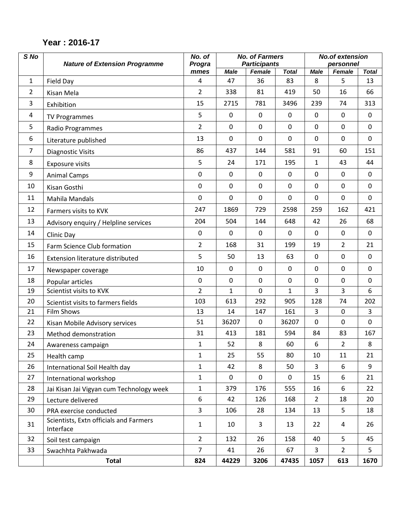#### *S No Nature of Extension Programme No. of Progra mmes No. of Farmers Participants No.of extension personnel Male Female Total Male Female Total* 1 Field Day 4 47 36 83 8 5 13 2 Kisan Mela 2 338 81 419 50 16 66 3 Exhibition 15 2715 781 3496 239 74 313 4 TV Programmes 5 0 0 0 0 0 0 5 | Radio Programmes | 2 | 0 | 0 | 0 | 0 | 0 | 0 | 0 6 Literature published 13 0 0 0 0 0 0 7 | Diagnostic Visits | 86 | 437 | 144 | 581 | 91 | 60 | 151 8 Exposure visits 5 24 171 195 1 43 44 9 Animal Camps 0 0 0 0 0 0 0 10 Kisan Gosthi 0 0 0 0 0 0 0 11 | Mahila Mandals | 0 | 0 | 0 | 0 | 0 | 0 | 0 12 | Farmers visits to KVK | 247 | 1869 | 729 | 2598 | 259 | 162 | 421 13 | Advisory enquiry / Helpline services | 204 | 504 | 144 | 648 | 42 | 26 | 68 14 | Clinic Day | 0 | 0 | 0 | 0 | 0 | 0 | 0 15 | Farm Science Club formation | 2 | 168 | 31 | 199 | 19 | 2 | 21 16 Extension literature distributed 15 | 50 | 13 | 63 | 0 | 0 | 0 17 Newspaper coverage 10 0 0 0 0 0 0 18 Popular articles 0 0 0 0 0 0 0 19 Scientist visits to KVK 2 1 0 1 3 3 6 20 | Scientist visits to farmers fields | 103 | 613 | 292 | 905 | 128 | 74 | 202 21 Film Shows 13 14 147 161 3 0 3 22 | Kisan Mobile Advisory services | 51 | 36207 | 0 | 36207 | 0 | 0 | 0 23 Method demonstration 31 413 181 594 84 83 167 24 Awareness campaign 1 1 52 8 60 6 2 8 25 Health camp 1 25 55 80 10 11 21 26 | International Soil Health day | 1 | 42 | 8 | 50 | 3 | 6 | 9 27 International workshop | 1 | 0 | 0 | 0 | 15 | 6 | 21 28 | Jai Kisan Jai Vigyan cum Technology week | 1 | 379 | 176 | 555 | 16 | 6 | 22 29 Lecture delivered 16 | 6 | 42 | 126 | 168 | 2 | 18 | 20 30 PRA exercise conducted 23 106 28 134 13 5 18 31 Scientists, Extn officials and Farmers<br>Interface Interface  $1 \t 1 \t 10 \t 3 \t 13 \t 22 \t 4 \t 26$ 32 Soil test campaign 2 132 26 158 40 5 45 33 Swachhta Pakhwada 7 41 26 67 3 2 5 **Total 824 44229 3206 47435 1057 613 1670**

#### **Year : 2016-17**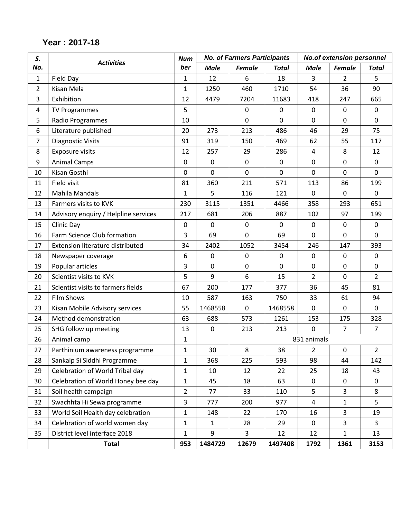| Year: 2017-18 |  |  |
|---------------|--|--|
|---------------|--|--|

| S.             |                                      | <b>Num</b>     |              | <b>No. of Farmers Participants</b> |              |                | <b>No.of extension personnel</b> |                |
|----------------|--------------------------------------|----------------|--------------|------------------------------------|--------------|----------------|----------------------------------|----------------|
| No.            | <b>Activities</b>                    | ber            | <b>Male</b>  | <b>Female</b>                      | <b>Total</b> | <b>Male</b>    | <b>Female</b>                    | <b>Total</b>   |
| $\mathbf{1}$   | Field Day                            | 1              | 12           | 6                                  | 18           | 3              | 2                                | 5.             |
| $\overline{2}$ | Kisan Mela                           | $\mathbf{1}$   | 1250         | 460                                | 1710         | 54             | 36                               | 90             |
| 3              | Exhibition                           | 12             | 4479         | 7204                               | 11683        | 418            | 247                              | 665            |
| $\overline{a}$ | <b>TV Programmes</b>                 | 5              |              | 0                                  | 0            | $\mathbf 0$    | $\mathbf 0$                      | $\mathbf 0$    |
| 5              | Radio Programmes                     | 10             |              | 0                                  | $\mathbf 0$  | 0              | $\mathbf 0$                      | $\mathbf 0$    |
| 6              | Literature published                 | 20             | 273          | 213                                | 486          | 46             | 29                               | 75             |
| $\overline{7}$ | <b>Diagnostic Visits</b>             | 91             | 319          | 150                                | 469          | 62             | 55                               | 117            |
| 8              | Exposure visits                      | 12             | 257          | 29                                 | 286          | $\overline{4}$ | 8                                | 12             |
| 9              | <b>Animal Camps</b>                  | 0              | $\mathbf 0$  | $\mathbf 0$                        | $\pmb{0}$    | $\mathbf 0$    | $\mathbf 0$                      | $\mathbf 0$    |
| 10             | Kisan Gosthi                         | 0              | 0            | 0                                  | $\mathbf 0$  | 0              | $\mathbf 0$                      | $\mathbf 0$    |
| 11             | Field visit                          | 81             | 360          | 211                                | 571          | 113            | 86                               | 199            |
| 12             | Mahila Mandals                       | 1              | 5            | 116                                | 121          | $\mathbf 0$    | $\mathbf 0$                      | $\mathbf 0$    |
| 13             | Farmers visits to KVK                | 230            | 3115         | 1351                               | 4466         | 358            | 293                              | 651            |
| 14             | Advisory enquiry / Helpline services | 217            | 681          | 206                                | 887          | 102            | 97                               | 199            |
| 15             | Clinic Day                           | $\mathbf 0$    | 0            | $\mathbf 0$                        | 0            | $\mathbf 0$    | $\mathbf 0$                      | $\mathbf 0$    |
| 16             | Farm Science Club formation          | 3              | 69           | $\mathbf 0$                        | 69           | $\mathbf 0$    | $\mathbf 0$                      | $\mathbf 0$    |
| 17             | Extension literature distributed     | 34             | 2402         | 1052                               | 3454         | 246            | 147                              | 393            |
| 18             | Newspaper coverage                   | 6              | $\mathbf 0$  | $\boldsymbol{0}$                   | 0            | 0              | 0                                | $\mathbf 0$    |
| 19             | Popular articles                     | 3              | $\mathbf 0$  | $\mathbf 0$                        | $\mathbf 0$  | $\mathbf 0$    | $\mathbf 0$                      | $\mathbf 0$    |
| 20             | Scientist visits to KVK              | 5              | 9            | 6                                  | 15           | $\overline{2}$ | $\mathbf 0$                      | $\overline{2}$ |
| 21             | Scientist visits to farmers fields   | 67             | 200          | 177                                | 377          | 36             | 45                               | 81             |
| 22             | <b>Film Shows</b>                    | 10             | 587          | 163                                | 750          | 33             | 61                               | 94             |
| 23             | Kisan Mobile Advisory services       | 55             | 1468558      | $\mathbf 0$                        | 1468558      | $\mathbf 0$    | $\mathbf 0$                      | $\mathbf 0$    |
| 24             | Method demonstration                 | 63             | 688          | 573                                | 1261         | 153            | 175                              | 328            |
| 25             | SHG follow up meeting                | 13             | $\mathbf 0$  | 213                                | 213          | $\mathbf 0$    | $\overline{7}$                   | $\overline{7}$ |
| 26             | Animal camp                          | $\mathbf{1}$   |              |                                    |              | 831 animals    |                                  |                |
| 27             | Parthinium awareness programme       | 1              | 30           | 8                                  | 38           | $\overline{2}$ | $\mathbf 0$                      | $\overline{2}$ |
| 28             | Sankalp Si Siddhi Programme          | $\mathbf{1}$   | 368          | 225                                | 593          | 98             | 44                               | 142            |
| 29             | Celebration of World Tribal day      | 1              | 10           | 12                                 | 22           | 25             | 18                               | 43             |
| 30             | Celebration of World Honey bee day   | $\mathbf{1}$   | 45           | 18                                 | 63           | 0              | 0                                | 0              |
| 31             | Soil health campaign                 | $\overline{2}$ | 77           | 33                                 | 110          | 5              | $\overline{3}$                   | 8              |
| 32             | Swachhta Hi Sewa programme           | 3              | 777          | 200                                | 977          | $\overline{4}$ | $\mathbf{1}$                     | 5              |
| 33             | World Soil Health day celebration    | $\mathbf{1}$   | 148          | 22                                 | 170          | 16             | $\overline{3}$                   | 19             |
| 34             | Celebration of world women day       | $\mathbf{1}$   | $\mathbf{1}$ | 28                                 | 29           | $\mathbf 0$    | $\overline{3}$                   | $\overline{3}$ |
| 35             | District level interface 2018        | $\mathbf{1}$   | 9            | $\overline{3}$                     | 12           | 12             | $\mathbf{1}$                     | 13             |
|                | <b>Total</b>                         | 953            | 1484729      | 12679                              | 1497408      | 1792           | 1361                             | 3153           |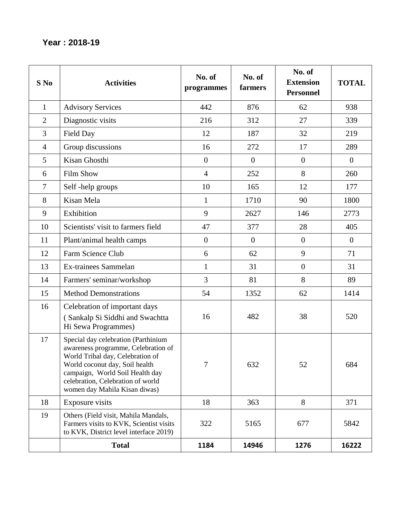### **Year : 2018-19**

| S No           | <b>Activities</b>                                                                                                                                                                                                                                         | No. of<br>programmes | No. of<br>farmers | No. of<br><b>Extension</b><br><b>Personnel</b> | <b>TOTAL</b>   |
|----------------|-----------------------------------------------------------------------------------------------------------------------------------------------------------------------------------------------------------------------------------------------------------|----------------------|-------------------|------------------------------------------------|----------------|
| $\mathbf{1}$   | <b>Advisory Services</b>                                                                                                                                                                                                                                  | 442                  | 876               | 62                                             | 938            |
| $\overline{2}$ | Diagnostic visits                                                                                                                                                                                                                                         | 216                  | 312               | 27                                             | 339            |
| 3              | Field Day                                                                                                                                                                                                                                                 | 12                   | 187               | 32                                             | 219            |
| $\overline{4}$ | Group discussions                                                                                                                                                                                                                                         | 16                   | 272               | 17                                             | 289            |
| 5              | Kisan Ghosthi                                                                                                                                                                                                                                             | $\overline{0}$       | $\theta$          | $\theta$                                       | $\overline{0}$ |
| 6              | <b>Film Show</b>                                                                                                                                                                                                                                          | $\overline{4}$       | 252               | 8                                              | 260            |
| $\overline{7}$ | Self-help groups                                                                                                                                                                                                                                          | 10                   | 165               | 12                                             | 177            |
| 8              | Kisan Mela                                                                                                                                                                                                                                                | $\mathbf{1}$         | 1710              | 90                                             | 1800           |
| 9              | Exhibition                                                                                                                                                                                                                                                | 9                    | 2627              | 146                                            | 2773           |
| 10             | Scientists' visit to farmers field                                                                                                                                                                                                                        | 47                   | 377               | 28                                             | 405            |
| 11             | Plant/animal health camps                                                                                                                                                                                                                                 | $\overline{0}$       | $\boldsymbol{0}$  | $\overline{0}$                                 | $\overline{0}$ |
| 12             | Farm Science Club                                                                                                                                                                                                                                         | 6                    | 62                | 9                                              | 71             |
| 13             | Ex-trainees Sammelan                                                                                                                                                                                                                                      | $\mathbf{1}$         | 31                | $\overline{0}$                                 | 31             |
| 14             | Farmers' seminar/workshop                                                                                                                                                                                                                                 | 3                    | 81                | 8                                              | 89             |
| 15             | <b>Method Demonstrations</b>                                                                                                                                                                                                                              | 54                   | 1352              | 62                                             | 1414           |
| 16             | Celebration of important days<br>(Sankalp Si Siddhi and Swachtta<br>Hi Sewa Programmes)                                                                                                                                                                   | 16                   | 482               | 38                                             | 520            |
| 17             | Special day celebration (Parthinium<br>awareness programme, Celebration of<br>World Tribal day, Celebration of<br>World coconut day, Soil health<br>campaign, World Soil Health day<br>celebration, Celebration of world<br>women day Mahila Kisan diwas) | $\overline{7}$       | 632               | 52                                             | 684            |
| 18             | Exposure visits                                                                                                                                                                                                                                           | 18                   | 363               | 8                                              | 371            |
| 19             | Others (Field visit, Mahila Mandals,<br>Farmers visits to KVK, Scientist visits<br>to KVK, District level interface 2019)                                                                                                                                 | 322                  | 5165              | 677                                            | 5842           |
|                | <b>Total</b>                                                                                                                                                                                                                                              | 1184                 | 14946             | 1276                                           | 16222          |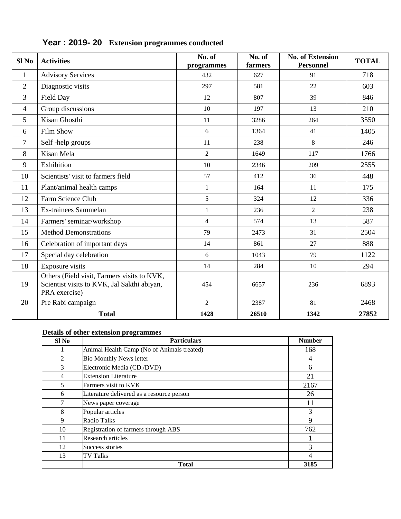| Sl <sub>No</sub> | <b>Activities</b>                                                                                           | No. of<br>programmes | No. of<br>farmers | <b>No. of Extension</b><br><b>Personnel</b> | <b>TOTAL</b> |
|------------------|-------------------------------------------------------------------------------------------------------------|----------------------|-------------------|---------------------------------------------|--------------|
| $\mathbf{1}$     | <b>Advisory Services</b>                                                                                    | 432                  | 627               | 91                                          | 718          |
| $\overline{2}$   | Diagnostic visits                                                                                           | 297                  | 581               | 22                                          | 603          |
| 3                | Field Day                                                                                                   | 12                   | 807               | 39                                          | 846          |
| $\overline{4}$   | Group discussions                                                                                           | 10                   | 197               | 13                                          | 210          |
| 5                | Kisan Ghosthi                                                                                               | 11                   | 3286              | 264                                         | 3550         |
| 6                | <b>Film Show</b>                                                                                            | 6                    | 1364              | 41                                          | 1405         |
| 7                | Self-help groups                                                                                            | 11                   | 238               | 8                                           | 246          |
| 8                | Kisan Mela                                                                                                  | $\overline{2}$       | 1649              | 117                                         | 1766         |
| 9                | Exhibition                                                                                                  | 10                   | 2346              | 209                                         | 2555         |
| 10               | Scientists' visit to farmers field                                                                          | 57                   | 412               | 36                                          | 448          |
| 11               | Plant/animal health camps                                                                                   | $\mathbf 1$          | 164               | 11                                          | 175          |
| 12               | Farm Science Club                                                                                           | 5                    | 324               | 12                                          | 336          |
| 13               | Ex-trainees Sammelan                                                                                        | $\mathbf{1}$         | 236               | $\overline{2}$                              | 238          |
| 14               | Farmers' seminar/workshop                                                                                   | $\overline{4}$       | 574               | 13                                          | 587          |
| 15               | <b>Method Demonstrations</b>                                                                                | 79                   | 2473              | 31                                          | 2504         |
| 16               | Celebration of important days                                                                               | 14                   | 861               | 27                                          | 888          |
| 17               | Special day celebration                                                                                     | 6                    | 1043              | 79                                          | 1122         |
| 18               | Exposure visits                                                                                             | 14                   | 284               | 10                                          | 294          |
| 19               | Others (Field visit, Farmers visits to KVK,<br>Scientist visits to KVK, Jal Sakthi abiyan,<br>PRA exercise) | 454                  | 6657              | 236                                         | 6893         |
| 20               | Pre Rabi campaign                                                                                           | $\overline{2}$       | 2387              | 81                                          | 2468         |
|                  | <b>Total</b>                                                                                                | 1428                 | 26510             | 1342                                        | 27852        |

# **Year : 2019- 20 Extension programmes conducted**

#### **Details of other extension programmes**

| Sl No          | <b>Particulars</b>                         | <b>Number</b> |
|----------------|--------------------------------------------|---------------|
|                | Animal Health Camp (No of Animals treated) | 168           |
| $\overline{2}$ | <b>Bio Monthly News letter</b>             | 4             |
| 3              | Electronic Media (CD./DVD)                 | 6             |
| 4              | <b>Extension Literature</b>                | 21            |
| 5              | Farmers visit to KVK                       | 2167          |
| 6              | Literature delivered as a resource person  | 26            |
|                | News paper coverage                        |               |
| 8              | Popular articles                           | 3             |
| 9              | Radio Talks                                | 9             |
| 10             | Registration of farmers through ABS        | 762           |
| 11             | Research articles                          |               |
| 12             | Success stories                            | 3             |
| 13             | TV Talks                                   |               |
|                | <b>Total</b>                               | 3185          |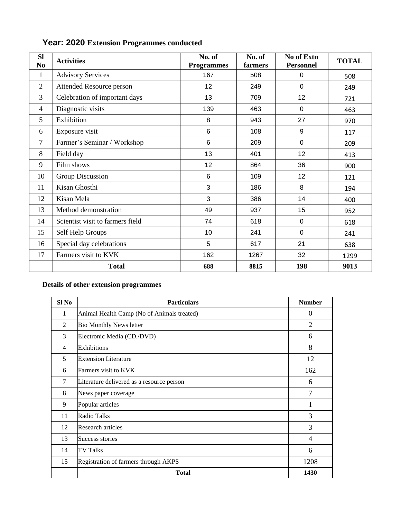| <b>Sl</b><br>N <sub>0</sub> | <b>Activities</b>                | No. of<br><b>Programmes</b> | No. of<br>farmers | No of Extn<br><b>Personnel</b> | <b>TOTAL</b> |
|-----------------------------|----------------------------------|-----------------------------|-------------------|--------------------------------|--------------|
| $\mathbf{1}$                | <b>Advisory Services</b>         | 167                         | 508               | $\mathbf 0$                    | 508          |
| $\overline{2}$              | Attended Resource person         | 12                          | 249               | $\mathbf 0$                    | 249          |
| 3                           | Celebration of important days    | 13                          | 709               | 12                             | 721          |
| $\overline{4}$              | Diagnostic visits                | 139                         | 463               | 0                              | 463          |
| 5                           | Exhibition                       | 8                           | 943               | 27                             | 970          |
| 6                           | Exposure visit                   | 6                           | 108               | 9                              | 117          |
| 7                           | Farmer's Seminar / Workshop      | 6                           | 209               | $\mathbf 0$                    | 209          |
| 8                           | Field day                        | 13                          | 401               | 12                             | 413          |
| 9                           | Film shows                       | 12                          | 864               | 36                             | 900          |
| 10                          | Group Discussion                 | 6                           | 109               | 12                             | 121          |
| 11                          | Kisan Ghosthi                    | 3                           | 186               | 8                              | 194          |
| 12                          | Kisan Mela                       | 3                           | 386               | 14                             | 400          |
| 13                          | Method demonstration             | 49                          | 937               | 15                             | 952          |
| 14                          | Scientist visit to farmers field | 74                          | 618               | $\mathbf 0$                    | 618          |
| 15                          | Self Help Groups                 | 10                          | 241               | $\mathbf 0$                    | 241          |
| 16                          | Special day celebrations         | 5                           | 617               | 21                             | 638          |
| 17                          | Farmers visit to KVK             | 162                         | 1267              | 32                             | 1299         |
|                             | <b>Total</b>                     | 688                         | 8815              | 198                            | 9013         |

# **Year: 2020 Extension Programmes conducted**

#### **Details of other extension programmes**

| Sl <sub>No</sub> | <b>Particulars</b>                         | <b>Number</b>  |
|------------------|--------------------------------------------|----------------|
| 1                | Animal Health Camp (No of Animals treated) | $\theta$       |
| 2                | <b>Bio Monthly News letter</b>             | $\overline{2}$ |
| 3                | Electronic Media (CD./DVD)                 | 6              |
| $\overline{4}$   | Exhibitions                                | 8              |
| 5                | <b>Extension Literature</b>                | 12             |
| 6                | Farmers visit to KVK                       | 162            |
| 7                | Literature delivered as a resource person  | 6              |
| 8                | News paper coverage                        | $\overline{7}$ |
| 9                | Popular articles                           |                |
| 11               | <b>Radio Talks</b>                         | 3              |
| 12               | Research articles                          | 3              |
| 13               | Success stories                            | $\overline{4}$ |
| 14               | <b>TV Talks</b>                            | 6              |
| 15               | Registration of farmers through AKPS       | 1208           |
|                  | <b>Total</b>                               | 1430           |